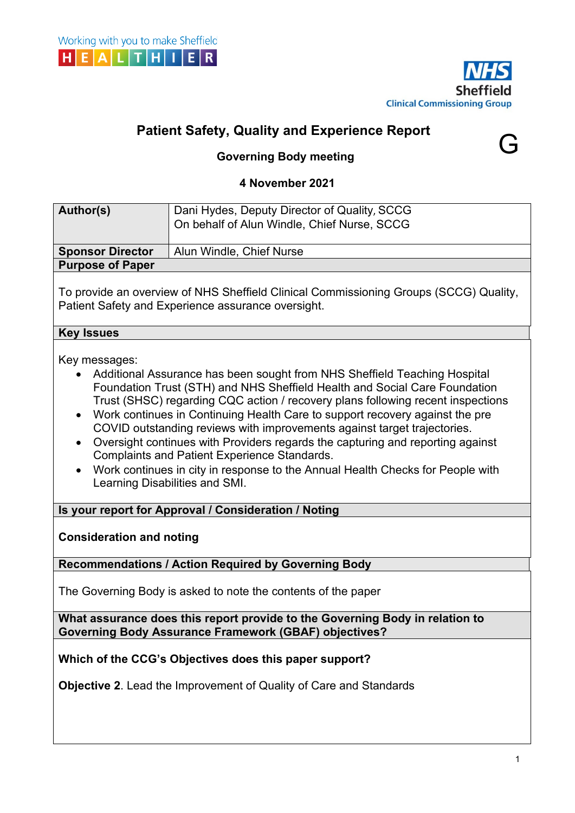



G

# **Patient Safety, Quality and Experience Report**

## **Governing Body meeting**

## **4 November 2021**

| Author(s)                                                                                                                                    | Dani Hydes, Deputy Director of Quality, SCCG<br>On behalf of Alun Windle, Chief Nurse, SCCG                                                                                                                                                                                                                                                                                                                                                                                                                                                                                                                                                                         |  |  |  |  |  |  |
|----------------------------------------------------------------------------------------------------------------------------------------------|---------------------------------------------------------------------------------------------------------------------------------------------------------------------------------------------------------------------------------------------------------------------------------------------------------------------------------------------------------------------------------------------------------------------------------------------------------------------------------------------------------------------------------------------------------------------------------------------------------------------------------------------------------------------|--|--|--|--|--|--|
|                                                                                                                                              |                                                                                                                                                                                                                                                                                                                                                                                                                                                                                                                                                                                                                                                                     |  |  |  |  |  |  |
| <b>Sponsor Director</b>                                                                                                                      | Alun Windle, Chief Nurse                                                                                                                                                                                                                                                                                                                                                                                                                                                                                                                                                                                                                                            |  |  |  |  |  |  |
| <b>Purpose of Paper</b>                                                                                                                      |                                                                                                                                                                                                                                                                                                                                                                                                                                                                                                                                                                                                                                                                     |  |  |  |  |  |  |
| To provide an overview of NHS Sheffield Clinical Commissioning Groups (SCCG) Quality,<br>Patient Safety and Experience assurance oversight.  |                                                                                                                                                                                                                                                                                                                                                                                                                                                                                                                                                                                                                                                                     |  |  |  |  |  |  |
| <b>Key Issues</b>                                                                                                                            |                                                                                                                                                                                                                                                                                                                                                                                                                                                                                                                                                                                                                                                                     |  |  |  |  |  |  |
| Key messages:<br>$\bullet$<br>٠<br>$\bullet$                                                                                                 | Additional Assurance has been sought from NHS Sheffield Teaching Hospital<br>Foundation Trust (STH) and NHS Sheffield Health and Social Care Foundation<br>Trust (SHSC) regarding CQC action / recovery plans following recent inspections<br>Work continues in Continuing Health Care to support recovery against the pre<br>COVID outstanding reviews with improvements against target trajectories.<br>Oversight continues with Providers regards the capturing and reporting against<br><b>Complaints and Patient Experience Standards.</b><br>Work continues in city in response to the Annual Health Checks for People with<br>Learning Disabilities and SMI. |  |  |  |  |  |  |
| Is your report for Approval / Consideration / Noting                                                                                         |                                                                                                                                                                                                                                                                                                                                                                                                                                                                                                                                                                                                                                                                     |  |  |  |  |  |  |
| <b>Consideration and noting</b>                                                                                                              |                                                                                                                                                                                                                                                                                                                                                                                                                                                                                                                                                                                                                                                                     |  |  |  |  |  |  |
| <b>Recommendations / Action Required by Governing Body</b>                                                                                   |                                                                                                                                                                                                                                                                                                                                                                                                                                                                                                                                                                                                                                                                     |  |  |  |  |  |  |
| The Governing Body is asked to note the contents of the paper                                                                                |                                                                                                                                                                                                                                                                                                                                                                                                                                                                                                                                                                                                                                                                     |  |  |  |  |  |  |
| What assurance does this report provide to the Governing Body in relation to<br><b>Governing Body Assurance Framework (GBAF) objectives?</b> |                                                                                                                                                                                                                                                                                                                                                                                                                                                                                                                                                                                                                                                                     |  |  |  |  |  |  |
| Which of the CCG's Objectives does this paper support?                                                                                       |                                                                                                                                                                                                                                                                                                                                                                                                                                                                                                                                                                                                                                                                     |  |  |  |  |  |  |
| <b>Objective 2.</b> Lead the Improvement of Quality of Care and Standards                                                                    |                                                                                                                                                                                                                                                                                                                                                                                                                                                                                                                                                                                                                                                                     |  |  |  |  |  |  |
|                                                                                                                                              |                                                                                                                                                                                                                                                                                                                                                                                                                                                                                                                                                                                                                                                                     |  |  |  |  |  |  |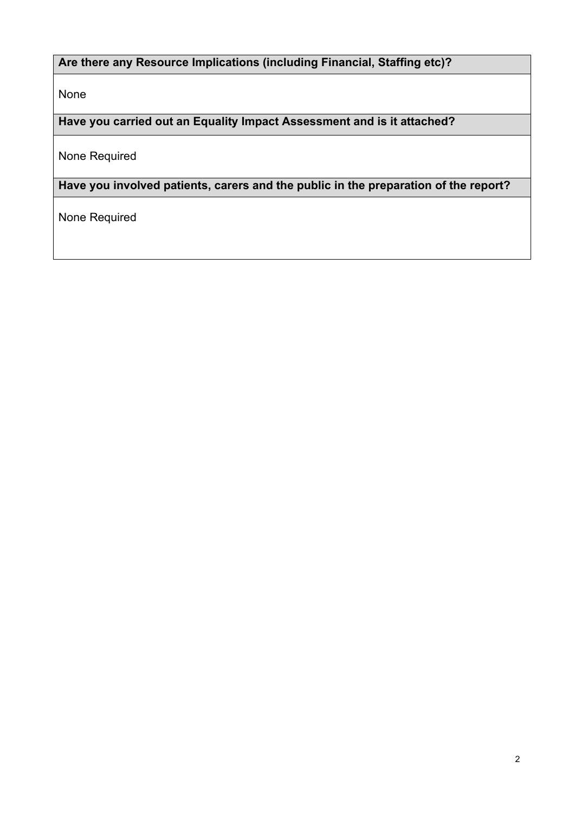## **Are there any Resource Implications (including Financial, Staffing etc)?**

None

**Have you carried out an Equality Impact Assessment and is it attached?**

None Required

**Have you involved patients, carers and the public in the preparation of the report?** 

None Required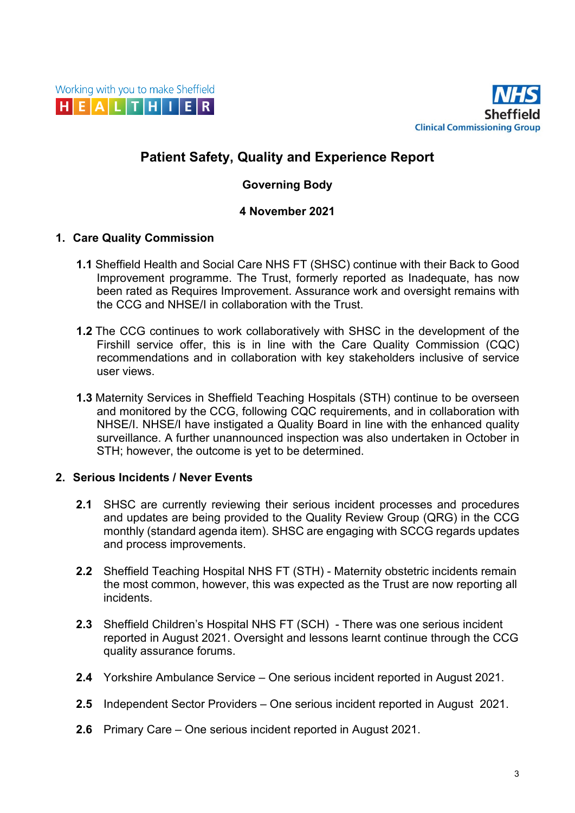

## **Patient Safety, Quality and Experience Report**

## **Governing Body**

#### **4 November 2021**

#### **1. Care Quality Commission**

- **1.1** Sheffield Health and Social Care NHS FT (SHSC) continue with their Back to Good Improvement programme. The Trust, formerly reported as Inadequate, has now been rated as Requires Improvement. Assurance work and oversight remains with the CCG and NHSE/I in collaboration with the Trust.
- **1.2** The CCG continues to work collaboratively with SHSC in the development of the Firshill service offer, this is in line with the Care Quality Commission (CQC) recommendations and in collaboration with key stakeholders inclusive of service user views.
- **1.3** Maternity Services in Sheffield Teaching Hospitals (STH) continue to be overseen and monitored by the CCG, following CQC requirements, and in collaboration with NHSE/I. NHSE/I have instigated a Quality Board in line with the enhanced quality surveillance. A further unannounced inspection was also undertaken in October in STH; however, the outcome is yet to be determined.

## **2. Serious Incidents / Never Events**

- **2.1** SHSC are currently reviewing their serious incident processes and procedures and updates are being provided to the Quality Review Group (QRG) in the CCG monthly (standard agenda item). SHSC are engaging with SCCG regards updates and process improvements.
- **2.2** Sheffield Teaching Hospital NHS FT (STH) Maternity obstetric incidents remain the most common, however, this was expected as the Trust are now reporting all incidents.
- **2.3** Sheffield Children's Hospital NHS FT (SCH) There was one serious incident reported in August 2021. Oversight and lessons learnt continue through the CCG quality assurance forums.
- **2.4** Yorkshire Ambulance Service One serious incident reported in August 2021.
- **2.5** Independent Sector Providers One serious incident reported in August 2021.
- **2.6** Primary Care One serious incident reported in August 2021.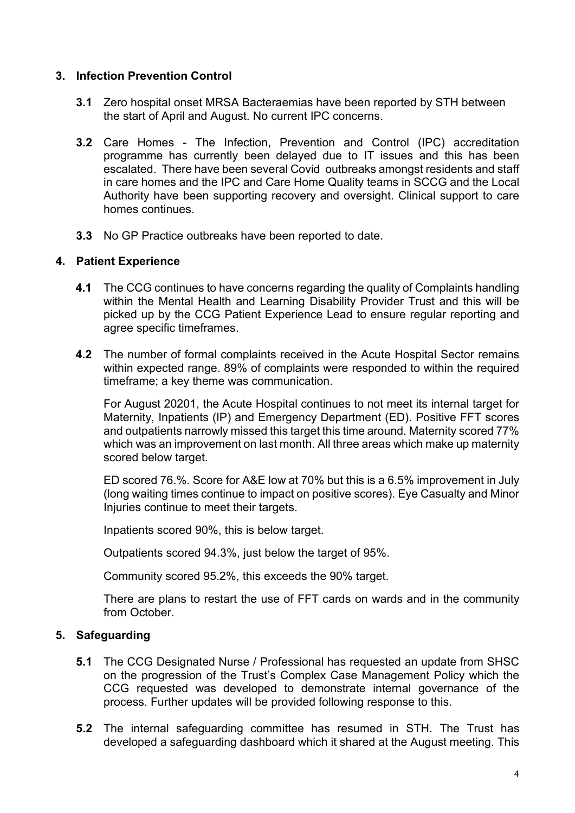#### **3. Infection Prevention Control**

- **3.1** Zero hospital onset MRSA Bacteraemias have been reported by STH between the start of April and August. No current IPC concerns.
- **3.2** Care Homes The Infection, Prevention and Control (IPC) accreditation programme has currently been delayed due to IT issues and this has been escalated. There have been several Covid outbreaks amongst residents and staff in care homes and the IPC and Care Home Quality teams in SCCG and the Local Authority have been supporting recovery and oversight. Clinical support to care homes continues.
- **3.3** No GP Practice outbreaks have been reported to date.

#### **4. Patient Experience**

- **4.1** The CCG continues to have concerns regarding the quality of Complaints handling within the Mental Health and Learning Disability Provider Trust and this will be picked up by the CCG Patient Experience Lead to ensure regular reporting and agree specific timeframes.
- **4.2** The number of formal complaints received in the Acute Hospital Sector remains within expected range. 89% of complaints were responded to within the required timeframe; a key theme was communication.

For August 20201, the Acute Hospital continues to not meet its internal target for Maternity, Inpatients (IP) and Emergency Department (ED). Positive FFT scores and outpatients narrowly missed this target this time around. Maternity scored 77% which was an improvement on last month. All three areas which make up maternity scored below target.

ED scored 76.%. Score for A&E low at 70% but this is a 6.5% improvement in July (long waiting times continue to impact on positive scores). Eye Casualty and Minor Injuries continue to meet their targets.

Inpatients scored 90%, this is below target.

Outpatients scored 94.3%, just below the target of 95%.

Community scored 95.2%, this exceeds the 90% target.

There are plans to restart the use of FFT cards on wards and in the community from October.

#### **5. Safeguarding**

- **5.1** The CCG Designated Nurse / Professional has requested an update from SHSC on the progression of the Trust's Complex Case Management Policy which the CCG requested was developed to demonstrate internal governance of the process. Further updates will be provided following response to this.
- **5.2** The internal safeguarding committee has resumed in STH. The Trust has developed a safeguarding dashboard which it shared at the August meeting. This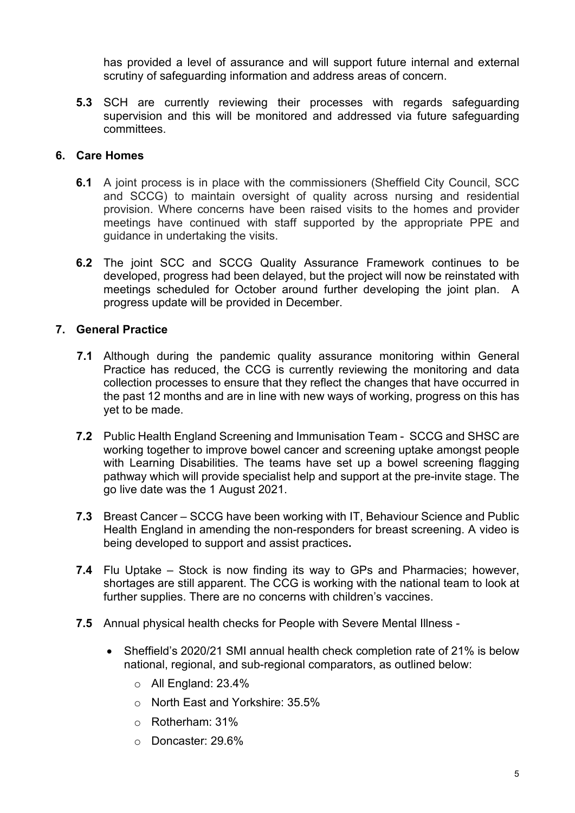has provided a level of assurance and will support future internal and external scrutiny of safeguarding information and address areas of concern.

**5.3** SCH are currently reviewing their processes with regards safeguarding supervision and this will be monitored and addressed via future safeguarding committees.

#### **6. Care Homes**

- **6.1** A joint process is in place with the commissioners (Sheffield City Council, SCC and SCCG) to maintain oversight of quality across nursing and residential provision. Where concerns have been raised visits to the homes and provider meetings have continued with staff supported by the appropriate PPE and guidance in undertaking the visits.
- **6.2** The joint SCC and SCCG Quality Assurance Framework continues to be developed, progress had been delayed, but the project will now be reinstated with meetings scheduled for October around further developing the joint plan. A progress update will be provided in December.

#### **7. General Practice**

- **7.1** Although during the pandemic quality assurance monitoring within General Practice has reduced, the CCG is currently reviewing the monitoring and data collection processes to ensure that they reflect the changes that have occurred in the past 12 months and are in line with new ways of working, progress on this has yet to be made.
- **7.2** Public Health England Screening and Immunisation Team SCCG and SHSC are working together to improve bowel cancer and screening uptake amongst people with Learning Disabilities. The teams have set up a bowel screening flagging pathway which will provide specialist help and support at the pre-invite stage. The go live date was the 1 August 2021.
- **7.3** Breast Cancer SCCG have been working with IT, Behaviour Science and Public Health England in amending the non-responders for breast screening. A video is being developed to support and assist practices**.**
- **7.4** Flu Uptake Stock is now finding its way to GPs and Pharmacies; however, shortages are still apparent. The CCG is working with the national team to look at further supplies. There are no concerns with children's vaccines.
- **7.5** Annual physical health checks for People with Severe Mental Illness
	- Sheffield's 2020/21 SMI annual health check completion rate of 21% is below national, regional, and sub-regional comparators, as outlined below:
		- o All England: 23.4%
		- o North East and Yorkshire: 35.5%
		- o Rotherham: 31%
		- o Doncaster: 29.6%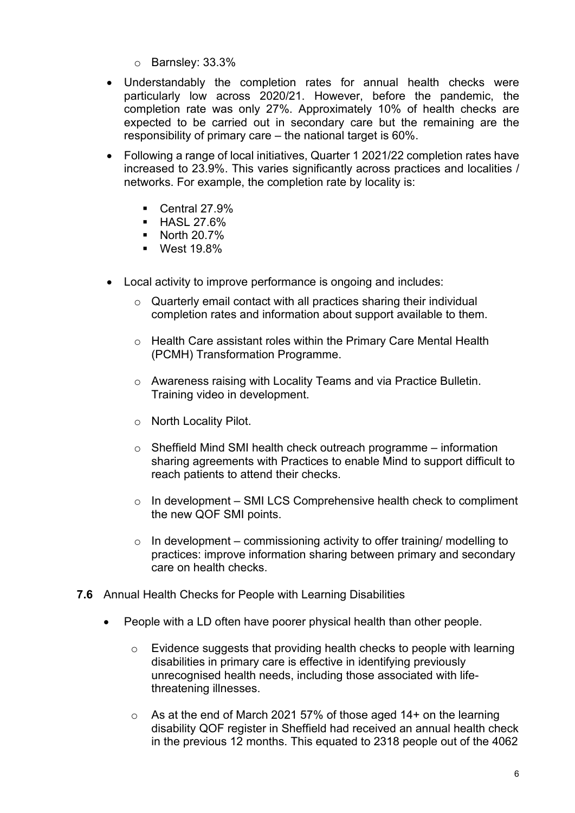- o Barnsley: 33.3%
- Understandably the completion rates for annual health checks were particularly low across 2020/21. However, before the pandemic, the completion rate was only 27%. Approximately 10% of health checks are expected to be carried out in secondary care but the remaining are the responsibility of primary care – the national target is 60%.
- Following a range of local initiatives, Quarter 1 2021/22 completion rates have increased to 23.9%. This varies significantly across practices and localities / networks. For example, the completion rate by locality is:
	- $\blacksquare$  Central 27.9%
	- **HASL 27.6%**
	- **North 20.7%**
	- **West 19.8%**
- Local activity to improve performance is ongoing and includes:
	- $\circ$  Quarterly email contact with all practices sharing their individual completion rates and information about support available to them.
	- o Health Care assistant roles within the Primary Care Mental Health (PCMH) Transformation Programme.
	- o Awareness raising with Locality Teams and via Practice Bulletin. Training video in development.
	- o North Locality Pilot.
	- $\circ$  Sheffield Mind SMI health check outreach programme information sharing agreements with Practices to enable Mind to support difficult to reach patients to attend their checks.
	- $\circ$  In development SMI LCS Comprehensive health check to compliment the new QOF SMI points.
	- $\circ$  In development commissioning activity to offer training/ modelling to practices: improve information sharing between primary and secondary care on health checks.
- **7.6** Annual Health Checks for People with Learning Disabilities
	- People with a LD often have poorer physical health than other people.
		- o Evidence suggests that providing health checks to people with learning disabilities in primary care is effective in identifying previously unrecognised health needs, including those associated with lifethreatening illnesses.
		- o As at the end of March 2021 57% of those aged 14+ on the learning disability QOF register in Sheffield had received an annual health check in the previous 12 months. This equated to 2318 people out of the 4062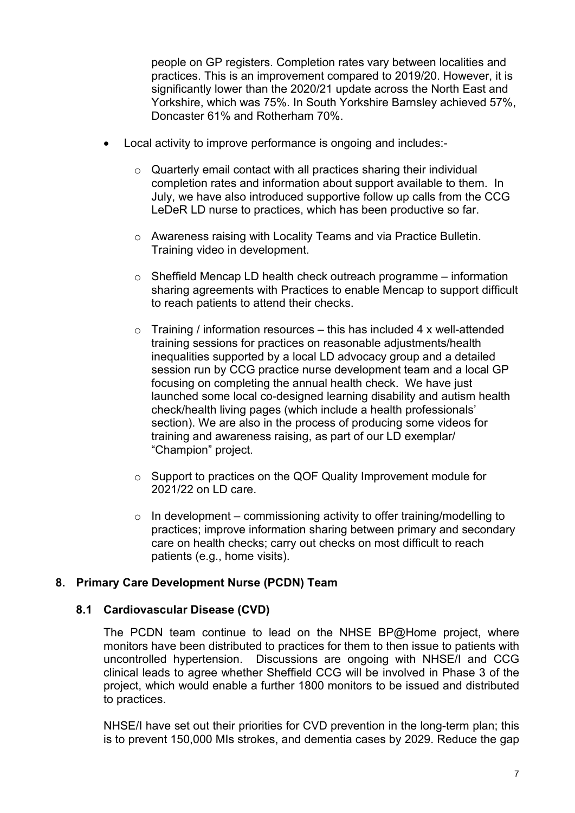people on GP registers. Completion rates vary between localities and practices. This is an improvement compared to 2019/20. However, it is significantly lower than the 2020/21 update across the North East and Yorkshire, which was 75%. In South Yorkshire Barnsley achieved 57%, Doncaster 61% and Rotherham 70%.

- Local activity to improve performance is ongoing and includes:
	- o Quarterly email contact with all practices sharing their individual completion rates and information about support available to them. In July, we have also introduced supportive follow up calls from the CCG LeDeR LD nurse to practices, which has been productive so far.
	- o Awareness raising with Locality Teams and via Practice Bulletin. Training video in development.
	- $\circ$  Sheffield Mencap LD health check outreach programme information sharing agreements with Practices to enable Mencap to support difficult to reach patients to attend their checks.
	- $\circ$  Training / information resources this has included 4 x well-attended training sessions for practices on reasonable adjustments/health inequalities supported by a local LD advocacy group and a detailed session run by CCG practice nurse development team and a local GP focusing on completing the annual health check. We have just launched some local co-designed learning disability and autism health check/health living pages (which include a health professionals' section). We are also in the process of producing some videos for training and awareness raising, as part of our LD exemplar/ "Champion" project.
	- o Support to practices on the QOF Quality Improvement module for 2021/22 on LD care.
	- $\circ$  In development commissioning activity to offer training/modelling to practices; improve information sharing between primary and secondary care on health checks; carry out checks on most difficult to reach patients (e.g., home visits).

## **8. Primary Care Development Nurse (PCDN) Team**

#### **8.1 Cardiovascular Disease (CVD)**

The PCDN team continue to lead on the NHSE BP@Home project, where monitors have been distributed to practices for them to then issue to patients with uncontrolled hypertension. Discussions are ongoing with NHSE/I and CCG clinical leads to agree whether Sheffield CCG will be involved in Phase 3 of the project, which would enable a further 1800 monitors to be issued and distributed to practices.

NHSE/I have set out their priorities for CVD prevention in the long-term plan; this is to prevent 150,000 MIs strokes, and dementia cases by 2029. Reduce the gap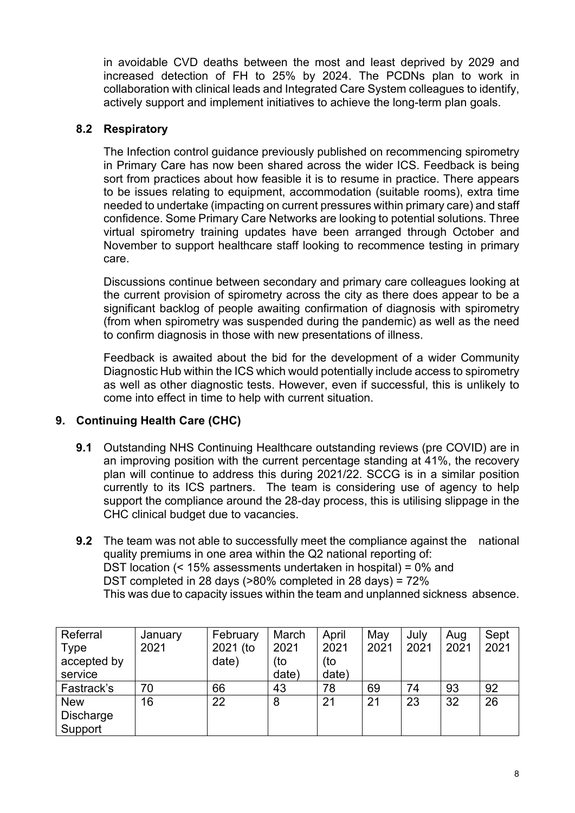in avoidable CVD deaths between the most and least deprived by 2029 and increased detection of FH to 25% by 2024. The PCDNs plan to work in collaboration with clinical leads and Integrated Care System colleagues to identify, actively support and implement initiatives to achieve the long-term plan goals.

## **8.2 Respiratory**

The Infection control guidance previously published on recommencing spirometry in Primary Care has now been shared across the wider ICS. Feedback is being sort from practices about how feasible it is to resume in practice. There appears to be issues relating to equipment, accommodation (suitable rooms), extra time needed to undertake (impacting on current pressures within primary care) and staff confidence. Some Primary Care Networks are looking to potential solutions. Three virtual spirometry training updates have been arranged through October and November to support healthcare staff looking to recommence testing in primary care.

Discussions continue between secondary and primary care colleagues looking at the current provision of spirometry across the city as there does appear to be a significant backlog of people awaiting confirmation of diagnosis with spirometry (from when spirometry was suspended during the pandemic) as well as the need to confirm diagnosis in those with new presentations of illness.

Feedback is awaited about the bid for the development of a wider Community Diagnostic Hub within the ICS which would potentially include access to spirometry as well as other diagnostic tests. However, even if successful, this is unlikely to come into effect in time to help with current situation.

## **9. Continuing Health Care (CHC)**

- **9.1** Outstanding NHS Continuing Healthcare outstanding reviews (pre COVID) are in an improving position with the current percentage standing at 41%, the recovery plan will continue to address this during 2021/22. SCCG is in a similar position currently to its ICS partners. The team is considering use of agency to help support the compliance around the 28-day process, this is utilising slippage in the CHC clinical budget due to vacancies.
- **9.2** The team was not able to successfully meet the compliance against the national quality premiums in one area within the Q2 national reporting of: DST location (< 15% assessments undertaken in hospital) = 0% and DST completed in 28 days (>80% completed in 28 days) = 72% This was due to capacity issues within the team and unplanned sickness absence.

| Referral         | January | February | March | April | May  | July | Aug  | Sept |
|------------------|---------|----------|-------|-------|------|------|------|------|
| <b>Type</b>      | 2021    | 2021 (to | 2021  | 2021  | 2021 | 2021 | 2021 | 2021 |
| accepted by      |         | date)    | (to   | (to   |      |      |      |      |
| service          |         |          | date) | date) |      |      |      |      |
| Fastrack's       | 70      | 66       | 43    | 78    | 69   | 74   | 93   | 92   |
| <b>New</b>       | 16      | 22       | 8     | 21    | 21   | 23   | 32   | 26   |
| <b>Discharge</b> |         |          |       |       |      |      |      |      |
| Support          |         |          |       |       |      |      |      |      |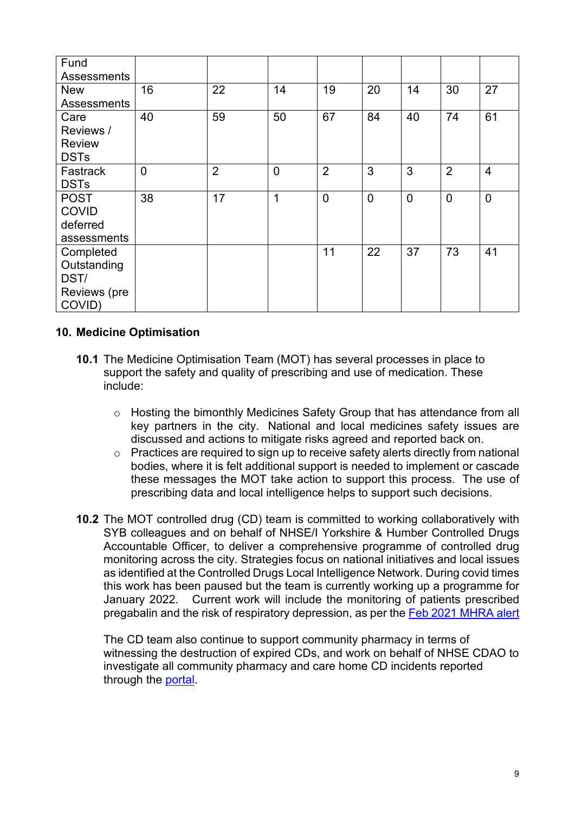| Fund               |                |                |                |                |                |                |                |                |
|--------------------|----------------|----------------|----------------|----------------|----------------|----------------|----------------|----------------|
| <b>Assessments</b> |                |                |                |                |                |                |                |                |
| <b>New</b>         | 16             | 22             | 14             | 19             | 20             | 14             | 30             | 27             |
| <b>Assessments</b> |                |                |                |                |                |                |                |                |
| Care               | 40             | 59             | 50             | 67             | 84             | 40             | 74             | 61             |
| Reviews /          |                |                |                |                |                |                |                |                |
| <b>Review</b>      |                |                |                |                |                |                |                |                |
| <b>DSTs</b>        |                |                |                |                |                |                |                |                |
| Fastrack           | $\overline{0}$ | $\overline{2}$ | $\overline{0}$ | $\overline{2}$ | 3              | 3              | $\overline{2}$ | $\overline{4}$ |
| <b>DSTs</b>        |                |                |                |                |                |                |                |                |
| <b>POST</b>        | 38             | 17             | $\overline{1}$ | $\overline{0}$ | $\overline{0}$ | $\overline{0}$ | $\overline{0}$ | $\mathbf 0$    |
| <b>COVID</b>       |                |                |                |                |                |                |                |                |
| deferred           |                |                |                |                |                |                |                |                |
| assessments        |                |                |                |                |                |                |                |                |
| Completed          |                |                |                | 11             | 22             | 37             | 73             | 41             |
| Outstanding        |                |                |                |                |                |                |                |                |
| DST/               |                |                |                |                |                |                |                |                |
| Reviews (pre       |                |                |                |                |                |                |                |                |
| COVID)             |                |                |                |                |                |                |                |                |

## **10. Medicine Optimisation**

- **10.1** The Medicine Optimisation Team (MOT) has several processes in place to support the safety and quality of prescribing and use of medication. These include:
	- o Hosting the bimonthly Medicines Safety Group that has attendance from all key partners in the city. National and local medicines safety issues are discussed and actions to mitigate risks agreed and reported back on.
	- o Practices are required to sign up to receive safety alerts directly from national bodies, where it is felt additional support is needed to implement or cascade these messages the MOT take action to support this process. The use of prescribing data and local intelligence helps to support such decisions.
- **10.2** The MOT controlled drug (CD) team is committed to working collaboratively with SYB colleagues and on behalf of NHSE/I Yorkshire & Humber Controlled Drugs Accountable Officer, to deliver a comprehensive programme of controlled drug monitoring across the city. Strategies focus on national initiatives and local issues as identified at the Controlled Drugs Local Intelligence Network. During covid times this work has been paused but the team is currently working up a programme for January 2022. Current work will include the monitoring of patients prescribed pregabalin and the risk of respiratory depression, as per the [Feb 2021 MHRA alert](https://www.gov.uk/drug-safety-update/pregabalin-lyrica-reports-of-severe-respiratory-depression)

The CD team also continue to support community pharmacy in terms of witnessing the destruction of expired CDs, and work on behalf of NHSE CDAO to investigate all community pharmacy and care home CD incidents reported through the [portal.](https://www.cdreporting.co.uk/)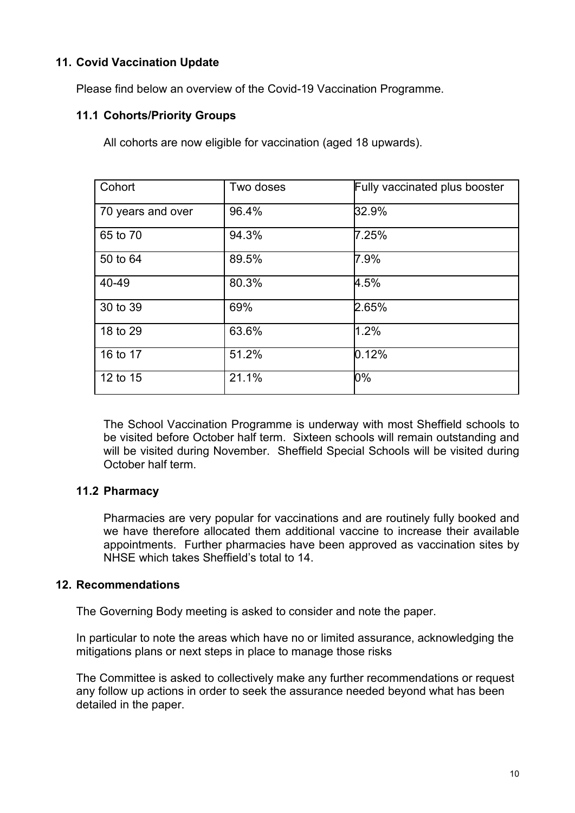## **11. Covid Vaccination Update**

Please find below an overview of the Covid-19 Vaccination Programme.

#### **11.1 Cohorts/Priority Groups**

All cohorts are now eligible for vaccination (aged 18 upwards).

| Cohort            | Two doses | Fully vaccinated plus booster |
|-------------------|-----------|-------------------------------|
| 70 years and over | 96.4%     | 32.9%                         |
| 65 to 70          | 94.3%     | 7.25%                         |
| 50 to 64          | 89.5%     | 7.9%                          |
| 40-49             | 80.3%     | 4.5%                          |
| 30 to 39          | 69%       | 2.65%                         |
| 18 to 29          | 63.6%     | 1.2%                          |
| 16 to 17          | 51.2%     | 0.12%                         |
| 12 to 15          | 21.1%     | 0%                            |

The School Vaccination Programme is underway with most Sheffield schools to be visited before October half term. Sixteen schools will remain outstanding and will be visited during November. Sheffield Special Schools will be visited during October half term.

## **11.2 Pharmacy**

Pharmacies are very popular for vaccinations and are routinely fully booked and we have therefore allocated them additional vaccine to increase their available appointments. Further pharmacies have been approved as vaccination sites by NHSE which takes Sheffield's total to 14.

#### **12. Recommendations**

The Governing Body meeting is asked to consider and note the paper.

In particular to note the areas which have no or limited assurance, acknowledging the mitigations plans or next steps in place to manage those risks

The Committee is asked to collectively make any further recommendations or request any follow up actions in order to seek the assurance needed beyond what has been detailed in the paper.